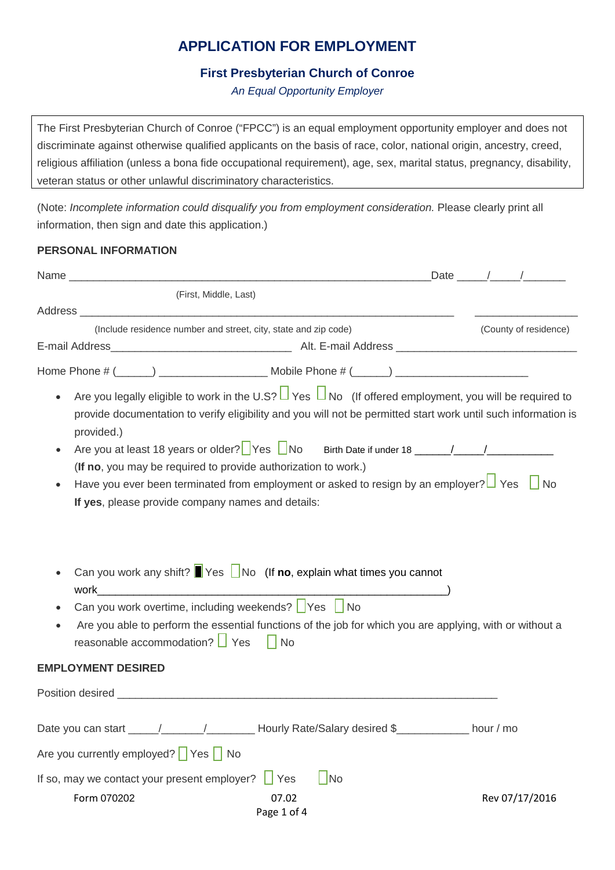# **APPLICATION FOR EMPLOYMENT**

## **First Presbyterian Church of Conroe**

*An Equal Opportunity Employer*

The First Presbyterian Church of Conroe ("FPCC") is an equal employment opportunity employer and does not discriminate against otherwise qualified applicants on the basis of race, color, national origin, ancestry, creed, religious affiliation (unless a bona fide occupational requirement), age, sex, marital status, pregnancy, disability, veteran status or other unlawful discriminatory characteristics.

(Note: *Incomplete information could disqualify you from employment consideration.* Please clearly print all information, then sign and date this application.)

### **PERSONAL INFORMATION**

|                                                                                                       |                                                                                                                                                                                                                                     | Date / /              |
|-------------------------------------------------------------------------------------------------------|-------------------------------------------------------------------------------------------------------------------------------------------------------------------------------------------------------------------------------------|-----------------------|
| (First, Middle, Last)                                                                                 |                                                                                                                                                                                                                                     |                       |
|                                                                                                       |                                                                                                                                                                                                                                     |                       |
|                                                                                                       | (Include residence number and street, city, state and zip code)                                                                                                                                                                     | (County of residence) |
|                                                                                                       |                                                                                                                                                                                                                                     |                       |
|                                                                                                       |                                                                                                                                                                                                                                     |                       |
| provided.)                                                                                            | Are you legally eligible to work in the U.S? $\Box$ Yes $\Box$ No (If offered employment, you will be required to<br>provide documentation to verify eligibility and you will not be permitted start work until such information is |                       |
|                                                                                                       | (If no, you may be required to provide authorization to work.)                                                                                                                                                                      |                       |
| If yes, please provide company names and details:                                                     | Have you ever been terminated from employment or asked to resign by an employer? $\Box$ Yes $\Box$ No                                                                                                                               |                       |
| Can you work overtime, including weekends?   Yes   No<br>$\bullet$<br>reasonable accommodation?   Yes | Can you work any shift? $\blacksquare$ Yes $\blacksquare$ No (If no, explain what times you cannot<br>Are you able to perform the essential functions of the job for which you are applying, with or without a<br>  No              |                       |
|                                                                                                       |                                                                                                                                                                                                                                     |                       |
| <b>EMPLOYMENT DESIRED</b>                                                                             |                                                                                                                                                                                                                                     |                       |
|                                                                                                       |                                                                                                                                                                                                                                     |                       |
| Date you can start $\frac{1}{2}$ / $\frac{1}{2}$ Hourly Rate/Salary desired \$                        |                                                                                                                                                                                                                                     | hour / mo             |
| Are you currently employed?   Yes   No                                                                |                                                                                                                                                                                                                                     |                       |
| If so, may we contact your present employer?                                                          | $\Box$ No<br>$\vert \vert$ Yes                                                                                                                                                                                                      |                       |
| Form 070202                                                                                           | 07.02<br>Page 1 of 4                                                                                                                                                                                                                | Rev 07/17/2016        |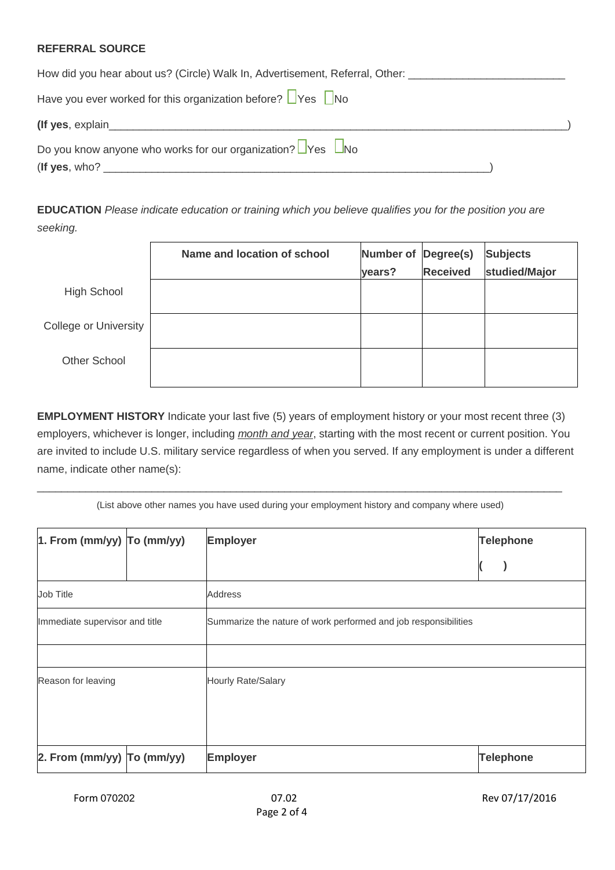## **REFERRAL SOURCE**

| How did you hear about us? (Circle) Walk In, Advertisement, Referral, Other:                                                                                                                                                   |
|--------------------------------------------------------------------------------------------------------------------------------------------------------------------------------------------------------------------------------|
| Have you ever worked for this organization before? $\Box$ Yes $\Box$ No                                                                                                                                                        |
| (If yes, explain example and the set of the set of the set of the set of the set of the set of the set of the set of the set of the set of the set of the set of the set of the set of the set of the set of the set of the se |
| Do you know anyone who works for our organization? $\Box$ Yes $\Box$ No                                                                                                                                                        |
| (If yes, who? $\_$                                                                                                                                                                                                             |

**EDUCATION** *Please indicate education or training which you believe qualifies you for the position you are seeking.*

|                       | Name and location of school | Number of<br>years? | Degree(s)<br><b>Received</b> | <b>Subjects</b><br>studied/Major |
|-----------------------|-----------------------------|---------------------|------------------------------|----------------------------------|
| <b>High School</b>    |                             |                     |                              |                                  |
| College or University |                             |                     |                              |                                  |
| <b>Other School</b>   |                             |                     |                              |                                  |

**EMPLOYMENT HISTORY** Indicate your last five (5) years of employment history or your most recent three (3) employers, whichever is longer, including *month and year*, starting with the most recent or current position. You are invited to include U.S. military service regardless of when you served. If any employment is under a different name, indicate other name(s):

 $\_$  , and the set of the set of the set of the set of the set of the set of the set of the set of the set of the set of the set of the set of the set of the set of the set of the set of the set of the set of the set of th (List above other names you have used during your employment history and company where used)

| $\vert$ 1. From (mm/yy) $\vert$ To (mm/yy) |  | <b>Employer</b>                                                 | <b>Telephone</b> |
|--------------------------------------------|--|-----------------------------------------------------------------|------------------|
|                                            |  |                                                                 |                  |
| <b>Address</b><br>Job Title                |  |                                                                 |                  |
| Immediate supervisor and title             |  | Summarize the nature of work performed and job responsibilities |                  |
|                                            |  |                                                                 |                  |
| Reason for leaving                         |  | Hourly Rate/Salary                                              |                  |
| 2. From (mm/yy) $\overline{1}$ o (mm/yy)   |  | <b>Employer</b>                                                 | <b>Telephone</b> |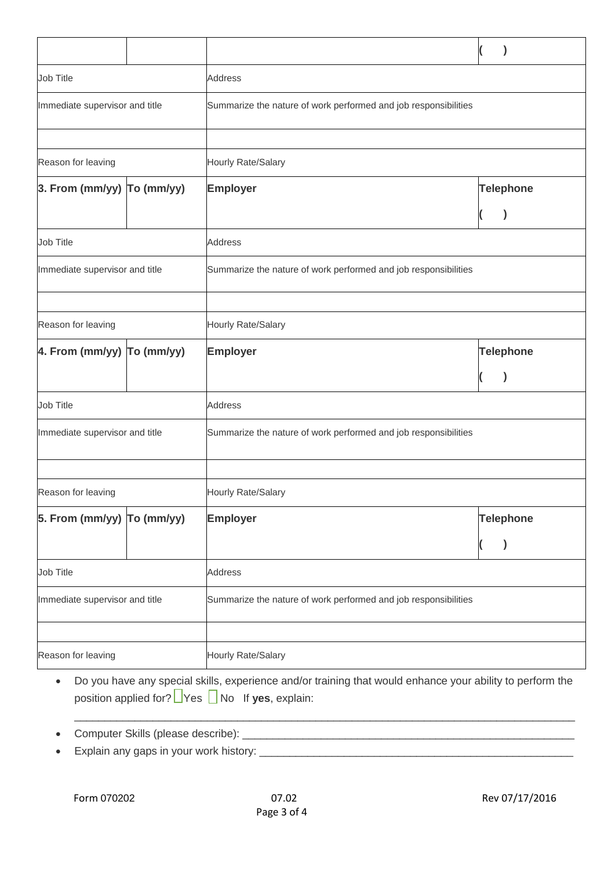|                                |                                                                                                   |                                                                 | $\mathcal Y$<br>V |  |
|--------------------------------|---------------------------------------------------------------------------------------------------|-----------------------------------------------------------------|-------------------|--|
| Job Title                      | <b>Address</b>                                                                                    |                                                                 |                   |  |
|                                | Immediate supervisor and title<br>Summarize the nature of work performed and job responsibilities |                                                                 |                   |  |
|                                |                                                                                                   |                                                                 |                   |  |
| Reason for leaving             |                                                                                                   | Hourly Rate/Salary                                              |                   |  |
| $3.$ From (mm/yy) $To$ (mm/yy) |                                                                                                   | <b>Employer</b>                                                 | <b>Telephone</b>  |  |
|                                |                                                                                                   |                                                                 |                   |  |
| Job Title<br><b>Address</b>    |                                                                                                   |                                                                 |                   |  |
| Immediate supervisor and title |                                                                                                   | Summarize the nature of work performed and job responsibilities |                   |  |
|                                |                                                                                                   |                                                                 |                   |  |
| Reason for leaving             |                                                                                                   | Hourly Rate/Salary                                              |                   |  |
| 4. From (mm/yy) To (mm/yy)     |                                                                                                   | <b>Employer</b>                                                 | <b>Telephone</b>  |  |
|                                |                                                                                                   |                                                                 |                   |  |
| Job Title                      |                                                                                                   | <b>Address</b>                                                  |                   |  |
| Immediate supervisor and title |                                                                                                   | Summarize the nature of work performed and job responsibilities |                   |  |
|                                |                                                                                                   |                                                                 |                   |  |
| Reason for leaving             |                                                                                                   | Hourly Rate/Salary                                              |                   |  |
| 5. From (mm/yy) To (mm/yy)     |                                                                                                   | <b>Employer</b>                                                 | <b>Telephone</b>  |  |
|                                |                                                                                                   |                                                                 | )                 |  |
| Job Title                      | <b>Address</b>                                                                                    |                                                                 |                   |  |
| Immediate supervisor and title | Summarize the nature of work performed and job responsibilities                                   |                                                                 |                   |  |
|                                |                                                                                                   |                                                                 |                   |  |
| Reason for leaving             | Hourly Rate/Salary                                                                                |                                                                 |                   |  |

• Do you have any special skills, experience and/or training that would enhance your ability to perform the position applied for? **Yes** No If yes, explain:

 $\_$  , and the set of the set of the set of the set of the set of the set of the set of the set of the set of the set of the set of the set of the set of the set of the set of the set of the set of the set of the set of th

- Computer Skills (please describe): \_\_\_\_\_\_\_\_\_\_\_\_\_\_\_\_\_\_\_\_\_\_\_\_\_\_\_\_\_\_\_\_\_\_\_\_\_\_\_\_\_\_\_\_\_\_\_\_\_\_\_\_\_\_\_
- Explain any gaps in your work history: \_\_\_\_\_\_\_\_\_\_\_\_\_\_\_\_\_\_\_\_\_\_\_\_\_\_\_\_\_\_\_\_\_\_\_\_\_\_\_\_\_\_\_\_\_\_\_\_\_\_\_\_